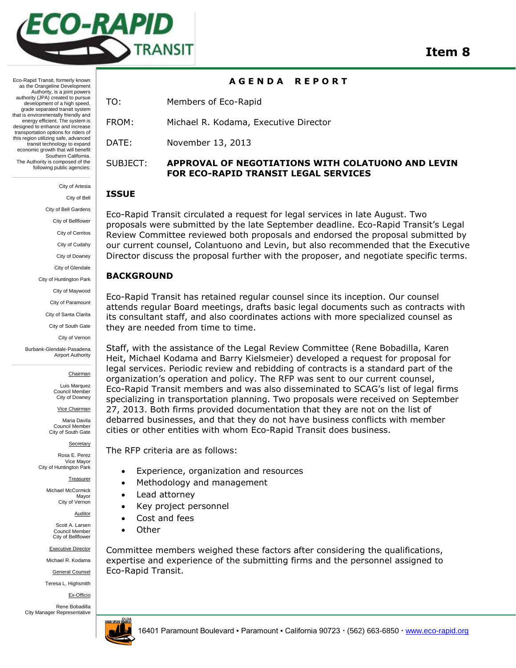

Eco-Rapid Transit, formerly known as the Orangeline Development Authority, is a joint powers authority (JPA) created to pursue development of a high speed. grade separated transit system that is environmentally friendly and energy efficient. The system is designed to enhance and increase transportation options for riders of this region utilizing safe, advanced transit technology to expand economic growth that will benefit Southern California. The Authority is composed of the following public agencies:

> City of Artesia City of Bell City of Bell Gardens City of Bellflower City of Cerritos City of Cudahy City of Downey City of Glendale City of Huntington Park City of Maywood City of Paramount City of Santa Clarita City of South Gate

City of Vernon Burbank-Glendale-Pasadena Airport Authority

Chairman

Luis Marquez Council Member City of Downey

Vice Chairman

Maria Davila Council Member City of South Gate

**Secretary** 

Rosa E. Perez Vice Mayor City of Huntington Park

Treasurer

Michael McCormick Mayor City of Vernon

**Auditor** 

Scott A. Larsen Council Member City of Bellflower

Executive Director

Michael R. Kodama

General Counsel

Teresa L. Highsmith

Ex-Officio

Rene Bobadilla City Manager Representative



## **A G E N D A R E P O R T**

TO: Members of Eco-Rapid

FROM: Michael R. Kodama, Executive Director

DATE: November 13, 2013

# SUBJECT: **APPROVAL OF NEGOTIATIONS WITH COLATUONO AND LEVIN FOR ECO-RAPID TRANSIT LEGAL SERVICES**

## **ISSUE**

Eco-Rapid Transit circulated a request for legal services in late August. Two proposals were submitted by the late September deadline. Eco-Rapid Transit's Legal Review Committee reviewed both proposals and endorsed the proposal submitted by our current counsel, Colantuono and Levin, but also recommended that the Executive Director discuss the proposal further with the proposer, and negotiate specific terms.

# **BACKGROUND**

Eco-Rapid Transit has retained regular counsel since its inception. Our counsel attends regular Board meetings, drafts basic legal documents such as contracts with its consultant staff, and also coordinates actions with more specialized counsel as they are needed from time to time.

Staff, with the assistance of the Legal Review Committee (Rene Bobadilla, Karen Heit, Michael Kodama and Barry Kielsmeier) developed a request for proposal for legal services. Periodic review and rebidding of contracts is a standard part of the organization's operation and policy. The RFP was sent to our current counsel, Eco-Rapid Transit members and was also disseminated to SCAG's list of legal firms specializing in transportation planning. Two proposals were received on September 27, 2013. Both firms provided documentation that they are not on the list of debarred businesses, and that they do not have business conflicts with member cities or other entities with whom Eco-Rapid Transit does business.

The RFP criteria are as follows:

- Experience, organization and resources
- Methodology and management
- Lead attorney
- Key project personnel
- Cost and fees
- Other

Committee members weighed these factors after considering the qualifications, expertise and experience of the submitting firms and the personnel assigned to Eco-Rapid Transit.